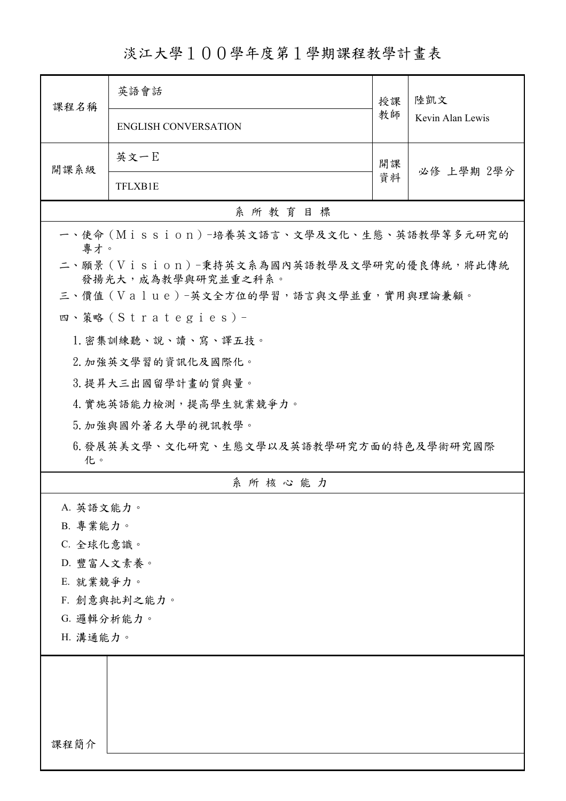淡江大學100學年度第1學期課程教學計畫表

| 課程名稱                                                            | 英語會話                                       | 授課 | 陸凱文<br>Kevin Alan Lewis |
|-----------------------------------------------------------------|--------------------------------------------|----|-------------------------|
|                                                                 | <b>ENGLISH CONVERSATION</b>                | 教師 |                         |
| 開課系級                                                            | 英文一E                                       | 開課 | 必修 上學期 2學分              |
|                                                                 | <b>TFLXB1E</b>                             | 資料 |                         |
|                                                                 | 系所教育目標                                     |    |                         |
| 專才。                                                             | 一、使命 (Mission) -培養英文語言、文學及文化、生態、英語教學等多元研究的 |    |                         |
| 二、願景 (Vision)-秉持英文系為國內英語教學及文學研究的優良傳統,將此傳統<br>發揚光大,成為教學與研究並重之科系。 |                                            |    |                         |
|                                                                 | 三、價值 (Value)-英文全方位的學習,語言與文學並重,實用與理論兼顧。     |    |                         |
|                                                                 | 四、策略(Strategies)-                          |    |                         |
|                                                                 | 1. 密集訓練聽、說、讀、寫、譯五技。                        |    |                         |
|                                                                 | 2. 加強英文學習的資訊化及國際化。                         |    |                         |
| 3. 提昇大三出國留學計畫的質與量。                                              |                                            |    |                         |
|                                                                 | 4. 實施英語能力檢測,提高學生就業競爭力。                     |    |                         |
|                                                                 | 5. 加強與國外著名大學的視訊教學。                         |    |                         |
| 6.發展英美文學、文化研究、生態文學以及英語教學研究方面的特色及學術研究國際<br>化。                    |                                            |    |                         |
|                                                                 | 系所核心能力                                     |    |                         |
| A. 英語文能力。                                                       |                                            |    |                         |
| B. 專業能力。                                                        |                                            |    |                         |
| C. 全球化意識。                                                       |                                            |    |                         |
| D. 豐富人文素養。                                                      |                                            |    |                         |
| E. 就業競爭力。                                                       |                                            |    |                         |
| F. 創意與批判之能力。                                                    |                                            |    |                         |
| G. 邏輯分析能力。                                                      |                                            |    |                         |
| H. 溝通能力。                                                        |                                            |    |                         |
|                                                                 |                                            |    |                         |
|                                                                 |                                            |    |                         |
|                                                                 |                                            |    |                         |
|                                                                 |                                            |    |                         |
| 課程簡介                                                            |                                            |    |                         |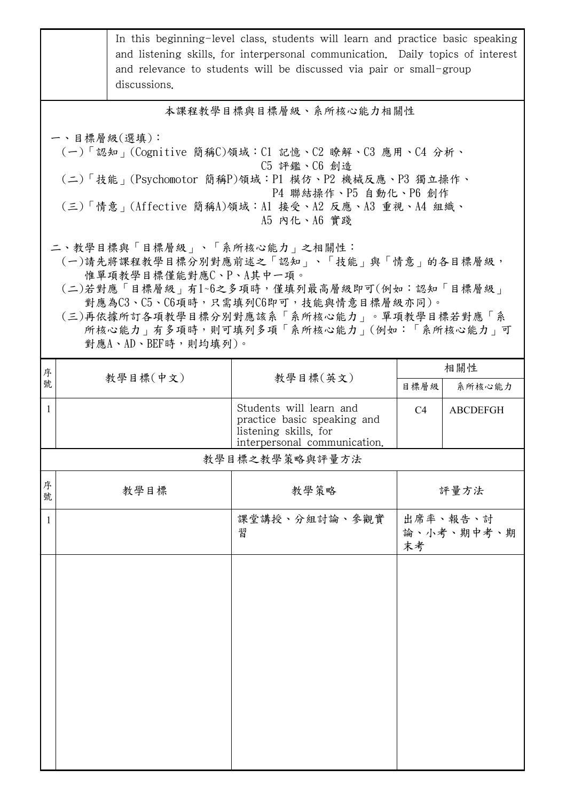|                                                                                                                                                                                                                                                                                                                          |                        | discussions. | In this beginning-level class, students will learn and practice basic speaking<br>and listening skills, for interpersonal communication. Daily topics of interest<br>and relevance to students will be discussed via pair or small-group |                         |                           |  |
|--------------------------------------------------------------------------------------------------------------------------------------------------------------------------------------------------------------------------------------------------------------------------------------------------------------------------|------------------------|--------------|------------------------------------------------------------------------------------------------------------------------------------------------------------------------------------------------------------------------------------------|-------------------------|---------------------------|--|
|                                                                                                                                                                                                                                                                                                                          | 本課程教學目標與目標層級、系所核心能力相關性 |              |                                                                                                                                                                                                                                          |                         |                           |  |
| 一、目標層級(選填):<br>(一)「認知」(Cognitive 簡稱C)領域:Cl 記憶、C2 瞭解、C3 應用、C4 分析、<br>C5 評鑑、C6 創造<br>(二)「技能 <sub>」</sub> (Psychomotor 簡稱P)領域:P1 模仿、P2 機械反應、P3 獨立操作、<br>P4 聯結操作、P5 自動化、P6 創作<br>(三)「情意」(Affective 簡稱A)領域:Al 接受、A2 反應、A3 重視、A4 組織、<br>A5 内化、A6 實踐<br>二、教學目標與「目標層級」、「系所核心能力」之相關性:<br>(一)請先將課程教學目標分別對應前述之「認知」、「技能」與「情意」的各目標層級, |                        |              |                                                                                                                                                                                                                                          |                         |                           |  |
| 惟單項教學目標僅能對應C、P、A其中一項。<br>(二)若對應「目標層級」有1~6之多項時,僅填列最高層級即可(例如:認知「目標層級」<br>對應為C3、C5、C6項時,只需填列C6即可,技能與情意目標層級亦同)。<br>(三)再依據所訂各項教學目標分別對應該系「系所核心能力」。單項教學目標若對應「系<br>所核心能力」有多項時,則可填列多項「系所核心能力」(例如:「系所核心能力」可<br>對應A、AD、BEF時,則均填列)。                                                                                                  |                        |              |                                                                                                                                                                                                                                          |                         |                           |  |
| 序<br>號                                                                                                                                                                                                                                                                                                                   |                        | 教學目標(中文)     | 教學目標(英文)                                                                                                                                                                                                                                 |                         | 相關性                       |  |
| $\mathbf{1}$                                                                                                                                                                                                                                                                                                             |                        |              | Students will learn and<br>practice basic speaking and<br>listening skills, for<br>interpersonal communication.                                                                                                                          | 目標層級 <br>C <sub>4</sub> | 系所核心能力<br><b>ABCDEFGH</b> |  |
|                                                                                                                                                                                                                                                                                                                          |                        |              | 教學目標之教學策略與評量方法                                                                                                                                                                                                                           |                         |                           |  |
| 序<br>號                                                                                                                                                                                                                                                                                                                   |                        | 教學目標         | 教學策略                                                                                                                                                                                                                                     |                         | 評量方法                      |  |
| $\mathbf{1}$                                                                                                                                                                                                                                                                                                             |                        |              | 課堂講授、分組討論、參觀實<br>習                                                                                                                                                                                                                       | 末考                      | 出席率、報告、討<br>論、小考、期中考、期    |  |
|                                                                                                                                                                                                                                                                                                                          |                        |              |                                                                                                                                                                                                                                          |                         |                           |  |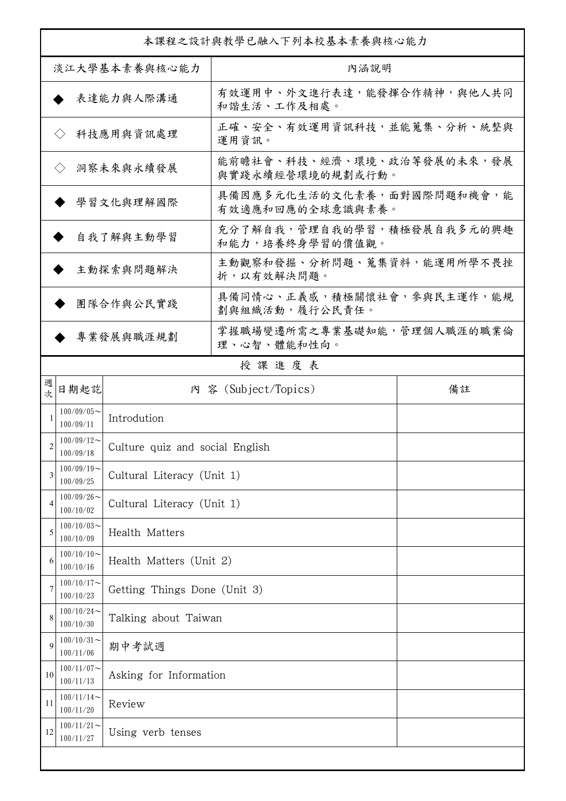| 本課程之設計與教學已融入下列本校基本素養與核心能力 |                            |                                 |                                                |    |
|---------------------------|----------------------------|---------------------------------|------------------------------------------------|----|
| 淡江大學基本素養與核心能力             |                            |                                 | 內涵說明                                           |    |
|                           |                            | 表達能力與人際溝通                       | 有效運用中、外文進行表達,能發揮合作精神,與他人共同<br>和諧生活、工作及相處。      |    |
|                           | $\langle \ \rangle$        | 科技應用與資訊處理                       | 正確、安全、有效運用資訊科技,並能蒐集、分析、統整與<br>運用資訊。            |    |
|                           | $\langle \rangle$          | 洞察未來與永續發展                       | 能前瞻社會、科技、經濟、環境、政治等發展的未來,發展<br>與實踐永續經營環境的規劃或行動。 |    |
|                           |                            | 學習文化與理解國際                       | 具備因應多元化生活的文化素養,面對國際問題和機會,能<br>有效適應和回應的全球意識與素養。 |    |
|                           |                            | 自我了解與主動學習                       | 充分了解自我,管理自我的學習,積極發展自我多元的興趣<br>和能力,培養終身學習的價值觀。  |    |
|                           |                            | 主動探索與問題解決                       | 主動觀察和發掘、分析問題、蒐集資料,能運用所學不畏挫<br>折,以有效解決問題。       |    |
|                           |                            | 團隊合作與公民實踐                       | 具備同情心、正義感,積極關懷社會,參與民主運作,能規<br>劃與組織活動,履行公民責任。   |    |
|                           |                            | 專業發展與職涯規劃                       | 掌握職場變遷所需之專業基礎知能,管理個人職涯的職業倫<br>理、心智、體能和性向。      |    |
|                           |                            |                                 | 授課進度表                                          |    |
| 週次                        | 日期起訖                       |                                 | 内 容 (Subject/Topics)                           | 備註 |
| 1                         | $100/09/05$ ~<br>100/09/11 | Introdution                     |                                                |    |
| 2                         | $100/09/12$ ~<br>100/09/18 | Culture quiz and social English |                                                |    |
| 3                         | $100/09/19$ ~<br>100/09/25 | Cultural Literacy (Unit 1)      |                                                |    |
| 4                         | $100/09/26$ ~<br>100/10/02 | Cultural Literacy (Unit 1)      |                                                |    |
| 5                         | $100/10/03$ ~<br>100/10/09 | Health Matters                  |                                                |    |
| 6                         | $100/10/10$ ~<br>100/10/16 | Health Matters (Unit 2)         |                                                |    |
| 7                         | $100/10/17$ ~<br>100/10/23 | Getting Things Done (Unit 3)    |                                                |    |
| 8                         | $100/10/24$ ~<br>100/10/30 | Talking about Taiwan            |                                                |    |
| 9                         | $100/10/31$ ~<br>100/11/06 | 期中考試週                           |                                                |    |
| 10                        | $100/11/07$ ~<br>100/11/13 | Asking for Information          |                                                |    |
| 11                        | $100/11/14$ ~<br>100/11/20 | Review                          |                                                |    |
| 12                        | $100/11/21$ ~<br>100/11/27 | Using verb tenses               |                                                |    |
|                           |                            |                                 |                                                |    |